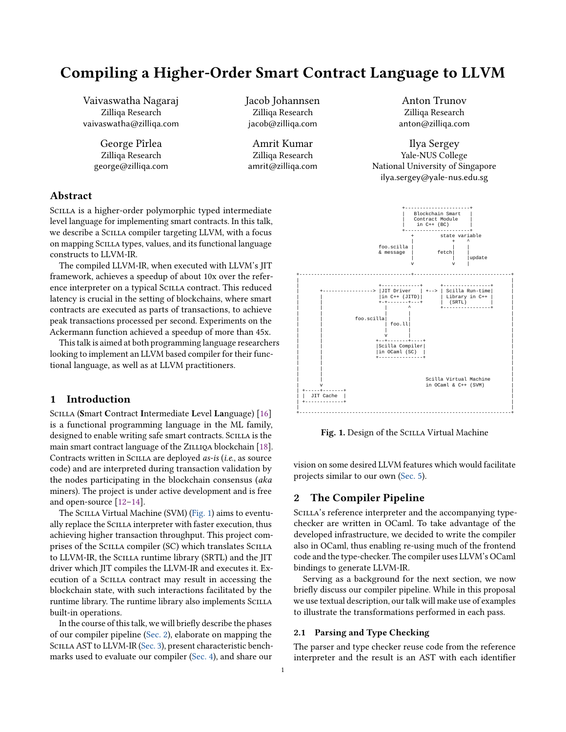# Compiling a Higher-Order Smart Contract Language to LLVM

Vaivaswatha Nagaraj Zilliqa Research vaivaswatha@zilliqa.com

> George Pîrlea Zilliqa Research george@zilliqa.com

Jacob Johannsen Zilliqa Research jacob@zilliqa.com

Amrit Kumar Zilliqa Research amrit@zilliqa.com

Anton Trunov Zilliqa Research anton@zilliqa.com

Ilya Sergey Yale-NUS College National University of Singapore ilya.sergey@yale-nus.edu.sg

# Abstract

SCILLA is a higher-order polymorphic typed intermediate level language for implementing smart contracts. In this talk, we describe a SCILLA compiler targeting LLVM, with a focus on mapping Scilla types, values, and its functional language constructs to LLVM-IR.

The compiled LLVM-IR, when executed with LLVM's JIT framework, achieves a speedup of about 10x over the reference interpreter on a typical Scilla contract. This reduced latency is crucial in the setting of blockchains, where smart contracts are executed as parts of transactions, to achieve peak transactions processed per second. Experiments on the Ackermann function achieved a speedup of more than 45x.

This talk is aimed at both programming language researchers looking to implement an LLVM based compiler for their functional language, as well as at LLVM practitioners.

# 1 Introduction

SCILLA (Smart Contract Intermediate Level Language) [\[16\]](#page-3-0) is a functional programming language in the ML family, designed to enable writing safe smart contracts. SCILLA is the main smart contract language of the ZILLIQA blockchain [\[18\]](#page-3-1). Contracts written in SCILLA are deployed as-is (i.e., as source code) and are interpreted during transaction validation by the nodes participating in the blockchain consensus (aka miners). The project is under active development and is free and open-source [\[12](#page-3-2)[–14\]](#page-3-3).

The SCILLA Virtual Machine (SVM) [\(Fig. 1\)](#page-0-0) aims to eventually replace the SCILLA interpreter with faster execution, thus achieving higher transaction throughput. This project comprises of the Scilla compiler (SC) which translates Scilla to LLVM-IR, the SCILLA runtime library (SRTL) and the JIT driver which JIT compiles the LLVM-IR and executes it. Execution of a Scilla contract may result in accessing the blockchain state, with such interactions facilitated by the runtime library. The runtime library also implements SCILLA built-in operations.

In the course of this talk, we will briefly describe the phases of our compiler pipeline [\(Sec. 2\)](#page-0-1), elaborate on mapping the SCILLA AST to LLVM-IR [\(Sec. 3\)](#page-2-0), present characteristic benchmarks used to evaluate our compiler [\(Sec. 4\)](#page-3-4), and share our

<span id="page-0-0"></span>

Fig. 1. Design of the SCILLA Virtual Machine

vision on some desired LLVM features which would facilitate projects similar to our own [\(Sec. 5\)](#page-3-5).

# <span id="page-0-1"></span>2 The Compiler Pipeline

SCILLA's reference interpreter and the accompanying typechecker are written in OCaml. To take advantage of the developed infrastructure, we decided to write the compiler also in OCaml, thus enabling re-using much of the frontend code and the type-checker. The compiler uses LLVM's OCaml bindings to generate LLVM-IR.

Serving as a background for the next section, we now briefly discuss our compiler pipeline. While in this proposal we use textual description, our talk will make use of examples to illustrate the transformations performed in each pass.

#### 2.1 Parsing and Type Checking

The parser and type checker reuse code from the reference interpreter and the result is an AST with each identifier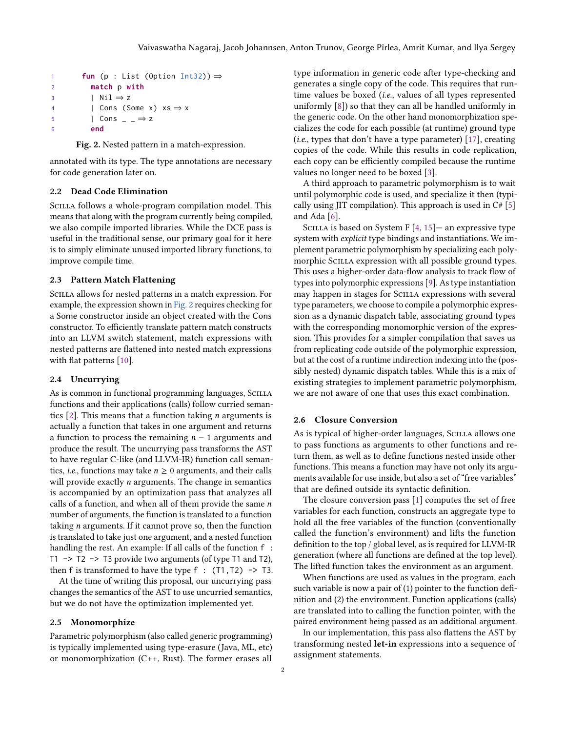```
1 fun (p : List (Option Int32)) ⇒
2 match p with
3 \vert Nil \Rightarrow z
4 | Cons (Some x) xs \Rightarrow x5 | Cons \_\rightarrow \mathsf{z}6 end
```
Fig. 2. Nested pattern in a match-expression.

annotated with its type. The type annotations are necessary for code generation later on.

#### 2.2 Dead Code Elimination

SCILLA follows a whole-program compilation model. This means that along with the program currently being compiled, we also compile imported libraries. While the DCE pass is useful in the traditional sense, our primary goal for it here is to simply eliminate unused imported library functions, to improve compile time.

#### 2.3 Pattern Match Flattening

Scilla allows for nested patterns in a match expression. For example, the expression shown in [Fig. 2](#page-1-0) requires checking for a Some constructor inside an object created with the Cons constructor. To efficiently translate pattern match constructs into an LLVM switch statement, match expressions with nested patterns are flattened into nested match expressions with flat patterns [\[10\]](#page-3-6).

### 2.4 Uncurrying

As is common in functional programming languages, SCILLA functions and their applications (calls) follow curried semantics  $[2]$ . This means that a function taking *n* arguments is actually a function that takes in one argument and returns a function to process the remaining  $n - 1$  arguments and produce the result. The uncurrying pass transforms the AST to have regular C-like (and LLVM-IR) function call semantics, *i.e.*, functions may take  $n \geq 0$  arguments, and their calls will provide exactly  $n$  arguments. The change in semantics is accompanied by an optimization pass that analyzes all calls of a function, and when all of them provide the same  $n$ number of arguments, the function is translated to a function taking n arguments. If it cannot prove so, then the function is translated to take just one argument, and a nested function handling the rest. An example: If all calls of the function  $f$ : T1 -> T2 -> T3 provide two arguments (of type T1 and T2), then f is transformed to have the type  $f : (T1, T2) \rightarrow T3$ .

At the time of writing this proposal, our uncurrying pass changes the semantics of the AST to use uncurried semantics, but we do not have the optimization implemented yet.

#### 2.5 Monomorphize

Parametric polymorphism (also called generic programming) is typically implemented using type-erasure (Java, ML, etc) or monomorphization (C++, Rust). The former erases all

type information in generic code after type-checking and generates a single copy of the code. This requires that runtime values be boxed (i.e., values of all types represented uniformly [\[8\]](#page-3-8)) so that they can all be handled uniformly in the generic code. On the other hand monomorphization specializes the code for each possible (at runtime) ground type (i.e., types that don't have a type parameter) [\[17\]](#page-3-9), creating copies of the code. While this results in code replication, each copy can be efficiently compiled because the runtime values no longer need to be boxed [\[3\]](#page-3-10).

A third approach to parametric polymorphism is to wait until polymorphic code is used, and specialize it then (typically using JIT compilation). This approach is used in C# [\[5\]](#page-3-11) and Ada [\[6\]](#page-3-12).

SCILLA is based on System F  $[4, 15]$  $[4, 15]$  $[4, 15]$  – an expressive type system with *explicit* type bindings and instantiations. We implement parametric polymorphism by specializing each polymorphic SCILLA expression with all possible ground types. This uses a higher-order data-flow analysis to track flow of types into polymorphic expressions [\[9\]](#page-3-15). As type instantiation may happen in stages for Scilla expressions with several type parameters, we choose to compile a polymorphic expression as a dynamic dispatch table, associating ground types with the corresponding monomorphic version of the expression. This provides for a simpler compilation that saves us from replicating code outside of the polymorphic expression, but at the cost of a runtime indirection indexing into the (possibly nested) dynamic dispatch tables. While this is a mix of existing strategies to implement parametric polymorphism, we are not aware of one that uses this exact combination.

#### 2.6 Closure Conversion

As is typical of higher-order languages, SCILLA allows one to pass functions as arguments to other functions and return them, as well as to define functions nested inside other functions. This means a function may have not only its arguments available for use inside, but also a set of "free variables" that are defined outside its syntactic definition.

The closure conversion pass [\[1\]](#page-3-16) computes the set of free variables for each function, constructs an aggregate type to hold all the free variables of the function (conventionally called the function's environment) and lifts the function definition to the top / global level, as is required for LLVM-IR generation (where all functions are defined at the top level). The lifted function takes the environment as an argument.

When functions are used as values in the program, each such variable is now a pair of (1) pointer to the function definition and (2) the environment. Function applications (calls) are translated into to calling the function pointer, with the paired environment being passed as an additional argument.

In our implementation, this pass also flattens the AST by transforming nested let-in expressions into a sequence of assignment statements.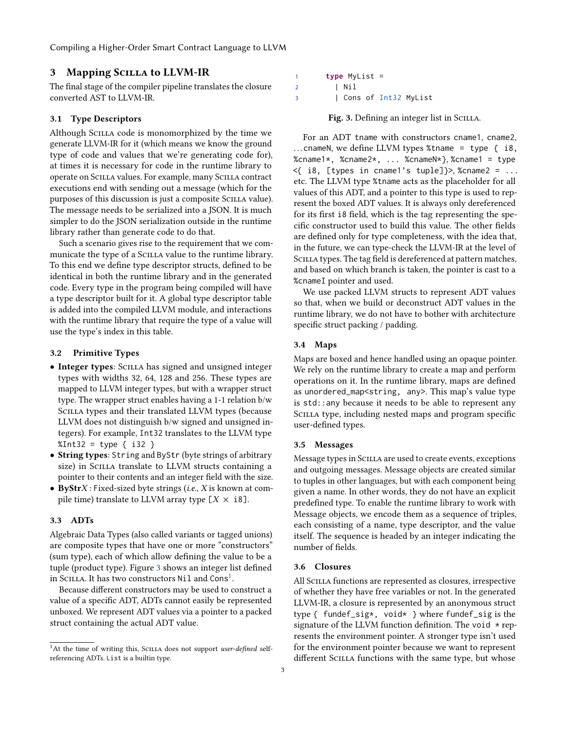# <span id="page-2-0"></span>3 Mapping Scilla to LLVM-IR

The final stage of the compiler pipeline translates the closure converted AST to LLVM-IR.

#### 3.1 Type Descriptors

Although Scilla code is monomorphized by the time we generate LLVM-IR for it (which means we know the ground type of code and values that we're generating code for), at times it is necessary for code in the runtime library to operate on Scilla values. For example, many Scilla contract executions end with sending out a message (which for the purposes of this discussion is just a composite Scilla value). The message needs to be serialized into a JSON. It is much simpler to do the JSON serialization outside in the runtime library rather than generate code to do that.

Such a scenario gives rise to the requirement that we communicate the type of a SCILLA value to the runtime library. To this end we define type descriptor structs, defined to be identical in both the runtime library and in the generated code. Every type in the program being compiled will have a type descriptor built for it. A global type descriptor table is added into the compiled LLVM module, and interactions with the runtime library that require the type of a value will use the type's index in this table.

#### 3.2 Primitive Types

- Integer types: Scilla has signed and unsigned integer types with widths 32, 64, 128 and 256. These types are mapped to LLVM integer types, but with a wrapper struct type. The wrapper struct enables having a 1-1 relation b/w Scilla types and their translated LLVM types (because LLVM does not distinguish b/w signed and unsigned integers). For example, Int32 translates to the LLVM type  $%Int32 = type { i32 }$
- String types: String and ByStr (byte strings of arbitrary size) in SCILLA translate to LLVM structs containing a pointer to their contents and an integer field with the size.
- ByStr $X$ : Fixed-sized byte strings (i.e.,  $X$  is known at compile time) translate to LLVM array type  $[X \times i8]$ .

#### 3.3 ADTs

Algebraic Data Types (also called variants or tagged unions) are composite types that have one or more "constructors" (sum type), each of which allow defining the value to be a tuple (product type). Figure [3](#page-2-1) shows an integer list defined in Scilla. It has two constructors <code>Nil</code> and <code>Cons $^1$  $^1$ .</code>

Because different constructors may be used to construct a value of a specific ADT, ADTs cannot easily be represented unboxed. We represent ADT values via a pointer to a packed struct containing the actual ADT value.

<span id="page-2-1"></span>1 **type** MyList = 2 | Nil 3 | Cons of Int32 MyList

Fig. 3. Defining an integer list in SCILLA.

For an ADT tname with constructors cname1, cname2, ... cnameN, we define LLVM types %tname = type { i8, %cname1\*, %cname2\*,  $\ldots$  %cnameN\*}, %cname1 = type  $\leq$  i8, [types in cname1's tuple]}>, %cname2 = ... etc. The LLVM type %tname acts as the placeholder for all values of this ADT, and a pointer to this type is used to represent the boxed ADT values. It is always only dereferenced for its first i8 field, which is the tag representing the specific constructor used to build this value. The other fields are defined only for type completeness, with the idea that, in the future, we can type-check the LLVM-IR at the level of SCILLA types. The tag field is dereferenced at pattern matches, and based on which branch is taken, the pointer is cast to a %cnameI pointer and used.

We use packed LLVM structs to represent ADT values so that, when we build or deconstruct ADT values in the runtime library, we do not have to bother with architecture specific struct packing / padding.

#### 3.4 Maps

Maps are boxed and hence handled using an opaque pointer. We rely on the runtime library to create a map and perform operations on it. In the runtime library, maps are defined as unordered\_map<string, any>. This map's value type is std::any because it needs to be able to represent any SCILLA type, including nested maps and program specific user-defined types.

#### 3.5 Messages

Message types in Scilla are used to create events, exceptions and outgoing messages. Message objects are created similar to tuples in other languages, but with each component being given a name. In other words, they do not have an explicit predefined type. To enable the runtime library to work with Message objects, we encode them as a sequence of triples, each consisting of a name, type descriptor, and the value itself. The sequence is headed by an integer indicating the number of fields.

#### 3.6 Closures

All SCILLA functions are represented as closures, irrespective of whether they have free variables or not. In the generated LLVM-IR, a closure is represented by an anonymous struct type { fundef\_sig\*, void\* } where fundef\_sig is the signature of the LLVM function definition. The void  $*$  represents the environment pointer. A stronger type isn't used for the environment pointer because we want to represent different SCILLA functions with the same type, but whose

<span id="page-2-2"></span> $1$ At the time of writing this, SCILLA does not support user-defined selfreferencing ADTs. List is a builtin type.